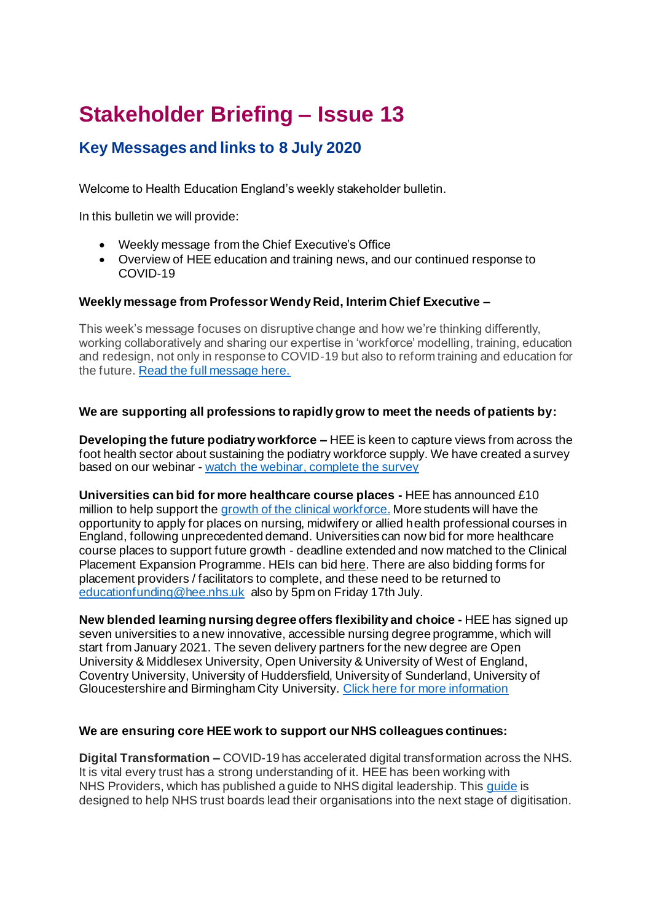# **Stakeholder Briefing – Issue 13**

# **Key Messages and links to 8 July 2020**

Welcome to Health Education England's weekly stakeholder bulletin.

In this bulletin we will provide:

- Weekly message from the Chief Executive's Office
- Overview of HEE education and training news, and our continued response to COVID-19

## **Weekly message from Professor Wendy Reid, Interim Chief Executive –**

This week's message focuses on disruptive change and how we're thinking differently, working collaboratively and sharing our expertise in 'workforce' modelling, training, education and redesign, not only in response to COVID-19 but also to reform training and education for the future. [Read the full message here.](https://www.hee.nhs.uk/news-blogs-events/blogs/we-celebrate-72nd-birthday-nhs-weekend-i-have-been-reflecting-changes-not-only-nhs-throughout-my-nhs)

## **We are supporting all professions to rapidly grow to meet the needs of patients by:**

**Developing the future podiatry workforce –** HEE is keen to capture views from across the foot health sector about sustaining the podiatry workforce supply. We have created a survey based on our webinar - [watch the webinar, complete the survey](https://www.hee.nhs.uk/our-work/allied-health-professions/future-proofing-nhs-podiatry-workforce?utm_source=Twitter&utm_medium=social&utm_campaign=SocialSignIn)

**Universities can bid for more healthcare course places -** HEE has announced £10 million to help support th[e growth of the clinical workforce.](https://www.hee.nhs.uk/news-blogs-events/news/health-education-england-invest-10-million-expand-nhs-care-workforce) More students will have the opportunity to apply for places on nursing, midwifery or allied health professional courses in England, following unprecedented demand. Universities can now bid for more healthcare course places to support future growth - deadline extended and now matched to the Clinical Placement Expansion Programme. HEIs can bi[d here.](https://www.gov.uk/government/publications/student-number-controls) There are also bidding forms for placement providers / facilitators to complete, and these need to be returned to [educationfunding@hee.nhs.uk](mailto:educationfunding@hee.nhs.uk) also by 5pm on Friday 17th July.

**New blended learning nursing degree offers flexibility and choice -** HEE has signed up seven universities to a new innovative, accessible nursing degree programme, which will start from January 2021. The seven delivery partners for the new degree are Open University & Middlesex University, Open University & University of West of England, Coventry University, University of Huddersfield, University of Sunderland, University of Gloucestershire and Birmingham City University[. Click here for more information](https://www.hee.nhs.uk/news-blogs-events/news/new-blended-learning-nursing-degree-offers-flexibility-choice)

#### **We are ensuring core HEE work to support our NHS colleagues continues:**

**Digital Transformation –** COVID-19 has accelerated digital transformation across the NHS. It is vital every trust has a strong understanding of it. HEE has been working with NHS Providers, which has published a guide to NHS digital leadership. Thi[s guide](https://nhsproviders.org/a-new-era-of-digital-leadership) is designed to help NHS trust boards lead their organisations into the next stage of digitisation.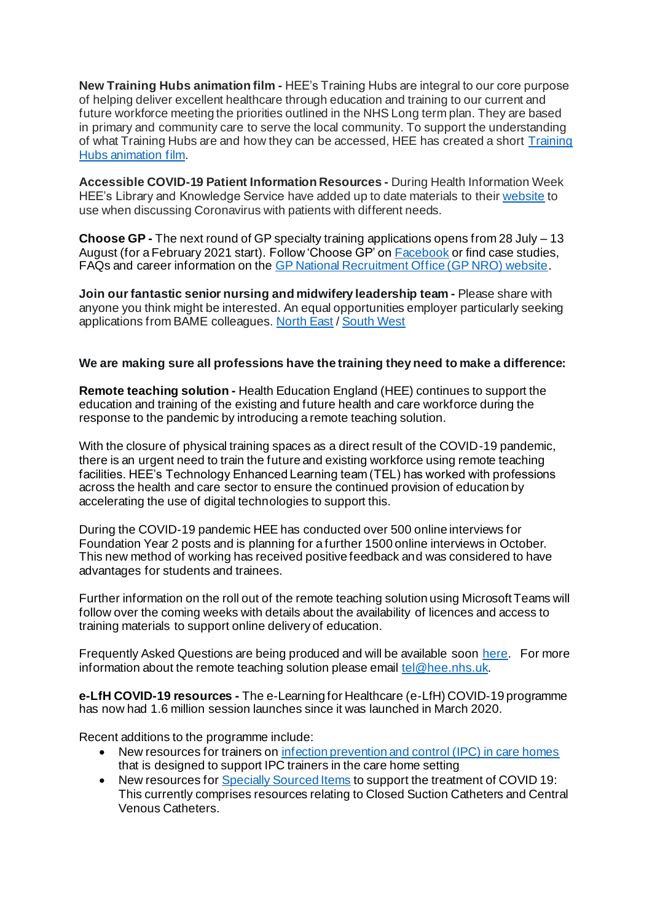**New Training Hubs animation film -** HEE's Training Hubs are integral to our core purpose of helping deliver excellent healthcare through education and training to our current and future workforce meeting the priorities outlined in the NHS Long term plan. They are based in primary and community care to serve the local community. To support the understanding of what Training Hubs are and how they can be accessed, HEE has created a short [Training](https://www.youtube.com/watch?v=exIqJiBmouo&t=3s&utm_source=Twitter&utm_medium=social&utm_campaign=SocialSignIn)  [Hubs animation film.](https://www.youtube.com/watch?v=exIqJiBmouo&t=3s&utm_source=Twitter&utm_medium=social&utm_campaign=SocialSignIn)

**Accessible COVID-19 Patient Information Resources -** During Health Information Week HEE's Library and Knowledge Service have added up to date materials to thei[r website](https://library.nhs.uk/?utm_source=Twitter&utm_medium=social&utm_campaign=SocialSignIn) to use when discussing Coronavirus with patients with different needs.

**Choose GP -** The next round of GP specialty training applications opens from 28 July – 13 August (for a February 2021 start). Follow 'Choose GP' o[n Facebook](https://www.facebook.com/ChooseGP) or find case studies, FAQs and career information on th[e GP National Recruitment Office \(GP NRO\) website](https://gprecruitment.hee.nhs.uk/choose-gp/).

**Join our fantastic senior nursing and midwifery leadership team -** Please share with anyone you think might be interested. An equal opportunities employer particularly seeking applications from BAME colleagues[. North East](http://jobs.hee.nhs.uk/job/UK/North_Yorkshire/Any_North_East_Yorkshire_HEE_office_base/Health_Education_England/Nursing/Nursing-v2448423?utm_source=Twitter&utm_medium=social&utm_campaign=SocialSignIn&utm_content=Nursing%20vacancies&set-locale=en-gb&_ts=1) / [South West](http://jobs.hee.nhs.uk/job/UK/North_Yorkshire/Bristol_Plymouth/Health_Education_England/Nursing_Midwifery/Nursing_Midwifery-v2456688?utm_source=Twitter&utm_medium=social&utm_campaign=SocialSignIn&utm_content=Nursing%20vacancies&set-locale=en-gb&_ts=25547)

#### **We are making sure all professions have the training they need to make a difference:**

**Remote teaching solution -** Health Education England (HEE) continues to support the education and training of the existing and future health and care workforce during the response to the pandemic by introducing a remote teaching solution.

With the closure of physical training spaces as a direct result of the COVID-19 pandemic, there is an urgent need to train the future and existing workforce using remote teaching facilities. HEE's Technology Enhanced Learning team (TEL) has worked with professions across the health and care sector to ensure the continued provision of education by accelerating the use of digital technologies to support this.

During the COVID-19 pandemic HEE has conducted over 500 online interviews for Foundation Year 2 posts and is planning for a further 1500 online interviews in October. This new method of working has received positive feedback and was considered to have advantages for students and trainees.

Further information on the roll out of the remote teaching solution using Microsoft Teams will follow over the coming weeks with details about the availability of licences and access to training materials to support online delivery of education.

Frequently Asked Questions are being produced and will be available soon [here.](https://telblog.hee.nhs.uk/) For more information about the remote teaching solution please email [tel@hee.nhs.uk](mailto:tel@hee.nhs.uk).

**e-LfH COVID-19 resources -** The e-Learning for Healthcare (e-LfH) COVID-19 programme has now had 1.6 million session launches since it was launched in March 2020.

Recent additions to the programme include:

- New resources for trainers o[n infection prevention and control \(IPC\) in care homes](https://portal.e-lfh.org.uk/Component/Details/649276) that is designed to support IPC trainers in the care home setting
- New resources fo[r Specially Sourced Items](https://portal.e-lfh.org.uk/Component/Details/649624) to support the treatment of COVID 19: This currently comprises resources relating to Closed Suction Catheters and Central Venous Catheters.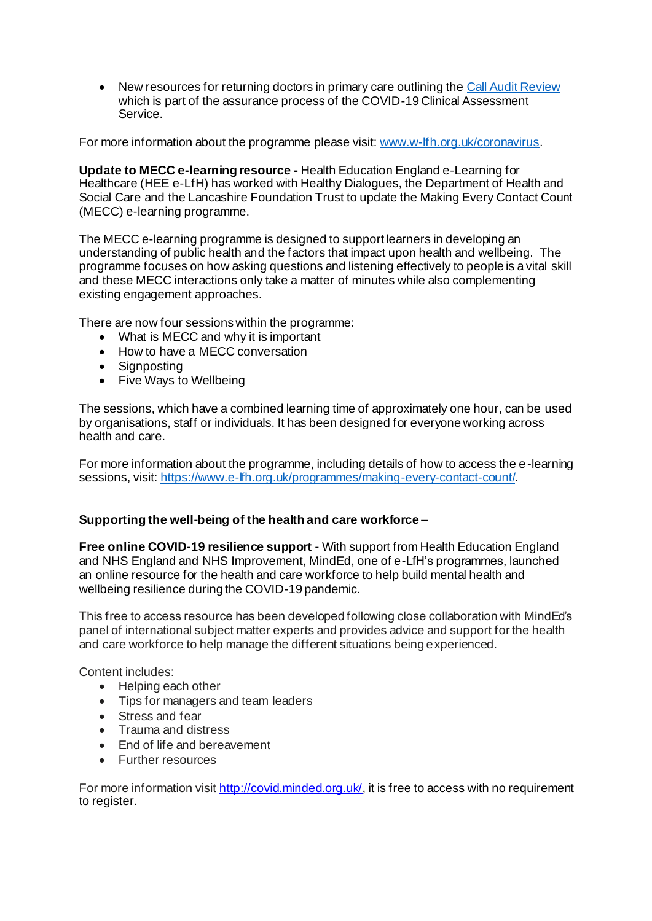New resources for returning doctors in primary care outlining th[e Call Audit Review](https://portal.e-lfh.org.uk/Component/Details/605300) which is part of the assurance process of the COVID-19 Clinical Assessment Service.

For more information about the programme please visit[: www.w-lfh.org.uk/coronavirus](http://www.w-lfh.org.uk/coronavirus).

**Update to MECC e-learning resource -** Health Education England e-Learning for Healthcare (HEE e-LfH) has worked with Healthy Dialogues, the Department of Health and Social Care and the Lancashire Foundation Trust to update the Making Every Contact Count (MECC) e-learning programme.

The MECC e-learning programme is designed to support learners in developing an understanding of public health and the factors that impact upon health and wellbeing. The programme focuses on how asking questions and listening effectively to people is a vital skill and these MECC interactions only take a matter of minutes while also complementing existing engagement approaches.

There are now four sessions within the programme:

- What is MECC and why it is important
- How to have a MECC conversation
- Signposting
- Five Ways to Wellbeing

The sessions, which have a combined learning time of approximately one hour, can be used by organisations, staff or individuals. It has been designed for everyone working across health and care.

For more information about the programme, including details of how to access the e-learning sessions, visit:<https://www.e-lfh.org.uk/programmes/making-every-contact-count/>.

#### **Supporting the well-being of the health and care workforce –**

**Free online COVID-19 resilience support -** With support from Health Education England and NHS England and NHS Improvement, MindEd, one of e-LfH's programmes, launched an online resource for the health and care workforce to help build mental health and wellbeing resilience during the COVID-19 pandemic.

This free to access resource has been developed following close collaboration with MindEd's panel of international subject matter experts and provides advice and support for the health and care workforce to help manage the different situations being experienced.

Content includes:

- Helping each other
- Tips for managers and team leaders
- Stress and fear
- Trauma and distress
- End of life and bereavement
- Further resources

For more information visi[t http://covid.minded.org.uk/](http://covid.minded.org.uk/), it is free to access with no requirement to register.